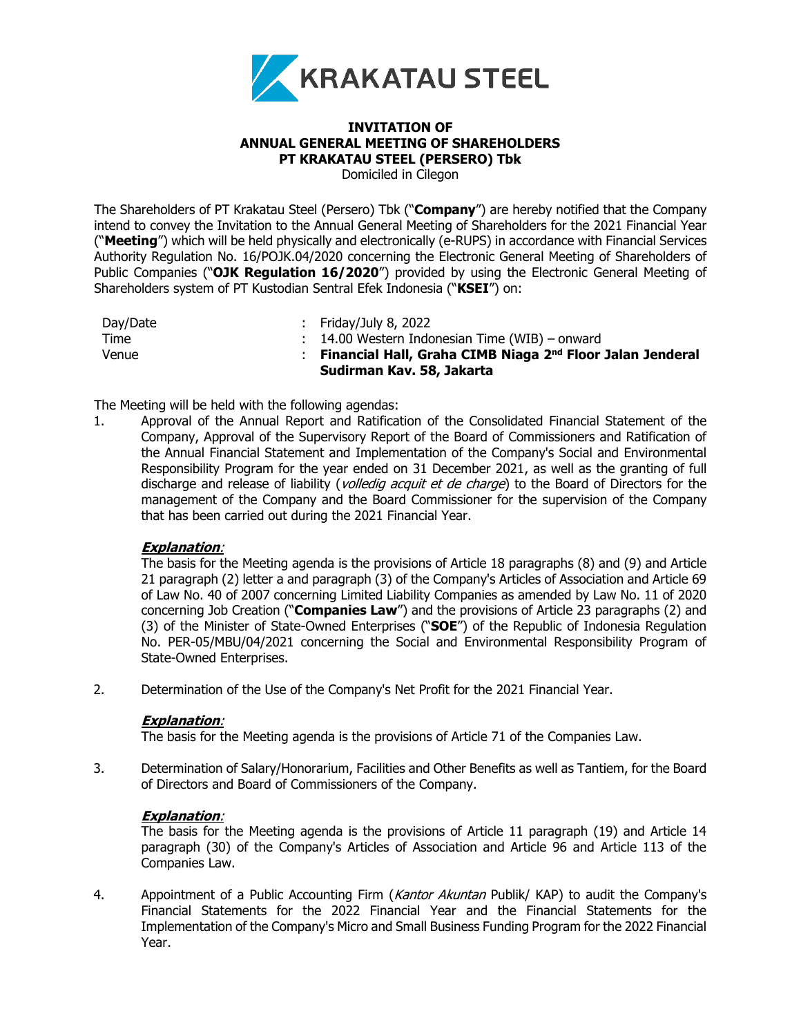

### **INVITATION OF ANNUAL GENERAL MEETING OF SHAREHOLDERS PT KRAKATAU STEEL (PERSERO) Tbk** Domiciled in Cilegon

The Shareholders of PT Krakatau Steel (Persero) Tbk ("**Company**") are hereby notified that the Company intend to convey the Invitation to the Annual General Meeting of Shareholders for the 2021 Financial Year ("**Meeting**") which will be held physically and electronically (e-RUPS) in accordance with Financial Services Authority Regulation No. 16/POJK.04/2020 concerning the Electronic General Meeting of Shareholders of Public Companies ("**OJK Regulation 16/2020**") provided by using the Electronic General Meeting of Shareholders system of PT Kustodian Sentral Efek Indonesia ("**KSEI**") on:

| Day/Date | : Friday/July 8, 2022                                         |
|----------|---------------------------------------------------------------|
| Time     | $\therefore$ 14.00 Western Indonesian Time (WIB) – onward     |
| Venue    | : Financial Hall, Graha CIMB Niaga $2nd$ Floor Jalan Jenderal |
|          | Sudirman Kav. 58, Jakarta                                     |

The Meeting will be held with the following agendas:

1. Approval of the Annual Report and Ratification of the Consolidated Financial Statement of the Company, Approval of the Supervisory Report of the Board of Commissioners and Ratification of the Annual Financial Statement and Implementation of the Company's Social and Environmental Responsibility Program for the year ended on 31 December 2021, as well as the granting of full discharge and release of liability (*volledig acquit et de charge*) to the Board of Directors for the management of the Company and the Board Commissioner for the supervision of the Company that has been carried out during the 2021 Financial Year.

## **Explanation**:

The basis for the Meeting agenda is the provisions of Article 18 paragraphs (8) and (9) and Article 21 paragraph (2) letter a and paragraph (3) of the Company's Articles of Association and Article 69 of Law No. 40 of 2007 concerning Limited Liability Companies as amended by Law No. 11 of 2020 concerning Job Creation ("**Companies Law**") and the provisions of Article 23 paragraphs (2) and (3) of the Minister of State-Owned Enterprises ("**SOE**") of the Republic of Indonesia Regulation No. PER-05/MBU/04/2021 concerning the Social and Environmental Responsibility Program of State-Owned Enterprises.

2. Determination of the Use of the Company's Net Profit for the 2021 Financial Year.

### **Explanation**:

The basis for the Meeting agenda is the provisions of Article 71 of the Companies Law.

3. Determination of Salary/Honorarium, Facilities and Other Benefits as well as Tantiem, for the Board of Directors and Board of Commissioners of the Company.

## **Explanation**:

The basis for the Meeting agenda is the provisions of Article 11 paragraph (19) and Article 14 paragraph (30) of the Company's Articles of Association and Article 96 and Article 113 of the Companies Law.

4. Appointment of a Public Accounting Firm (Kantor Akuntan Publik/ KAP) to audit the Company's Financial Statements for the 2022 Financial Year and the Financial Statements for the Implementation of the Company's Micro and Small Business Funding Program for the 2022 Financial Year.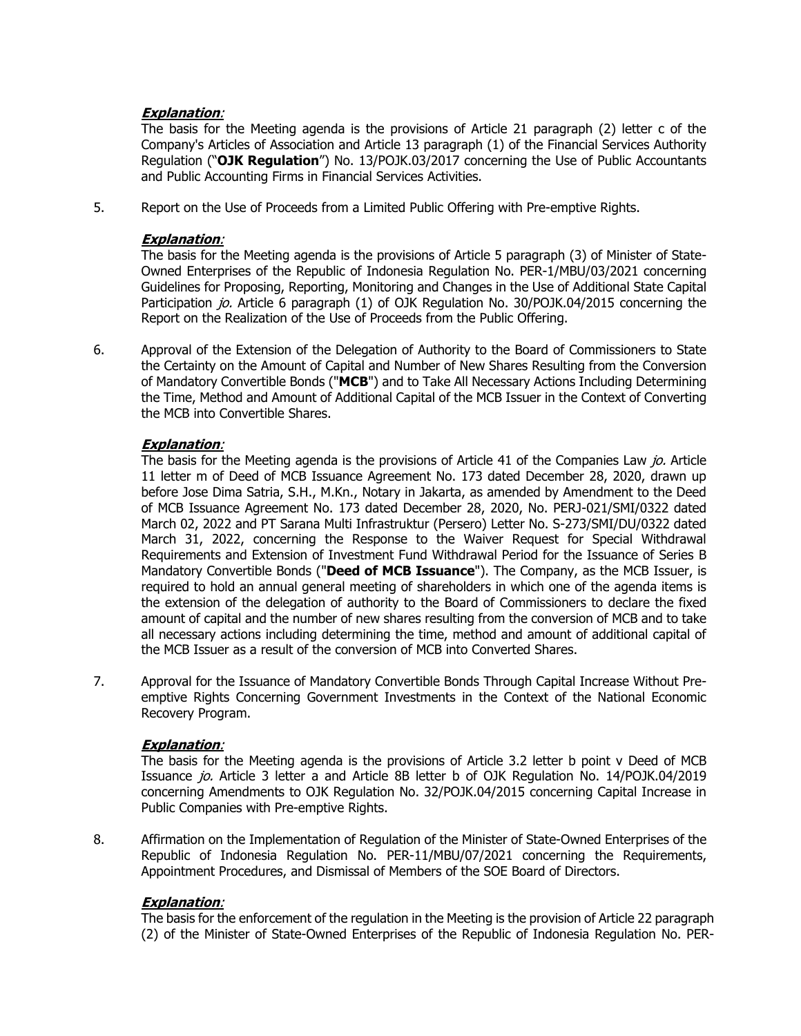## **Explanation**:

The basis for the Meeting agenda is the provisions of Article 21 paragraph (2) letter c of the Company's Articles of Association and Article 13 paragraph (1) of the Financial Services Authority Regulation ("**OJK Regulation**") No. 13/POJK.03/2017 concerning the Use of Public Accountants and Public Accounting Firms in Financial Services Activities.

5. Report on the Use of Proceeds from a Limited Public Offering with Pre-emptive Rights.

## **Explanation**:

The basis for the Meeting agenda is the provisions of Article 5 paragraph (3) of Minister of State-Owned Enterprises of the Republic of Indonesia Regulation No. PER-1/MBU/03/2021 concerning Guidelines for Proposing, Reporting, Monitoring and Changes in the Use of Additional State Capital Participation jo. Article 6 paragraph (1) of OJK Regulation No. 30/POJK.04/2015 concerning the Report on the Realization of the Use of Proceeds from the Public Offering.

6. Approval of the Extension of the Delegation of Authority to the Board of Commissioners to State the Certainty on the Amount of Capital and Number of New Shares Resulting from the Conversion of Mandatory Convertible Bonds ("**MCB**") and to Take All Necessary Actions Including Determining the Time, Method and Amount of Additional Capital of the MCB Issuer in the Context of Converting the MCB into Convertible Shares.

## **Explanation**:

The basis for the Meeting agenda is the provisions of Article 41 of the Companies Law jo. Article 11 letter m of Deed of MCB Issuance Agreement No. 173 dated December 28, 2020, drawn up before Jose Dima Satria, S.H., M.Kn., Notary in Jakarta, as amended by Amendment to the Deed of MCB Issuance Agreement No. 173 dated December 28, 2020, No. PERJ-021/SMI/0322 dated March 02, 2022 and PT Sarana Multi Infrastruktur (Persero) Letter No. S-273/SMI/DU/0322 dated March 31, 2022, concerning the Response to the Waiver Request for Special Withdrawal Requirements and Extension of Investment Fund Withdrawal Period for the Issuance of Series B Mandatory Convertible Bonds ("**Deed of MCB Issuance**"). The Company, as the MCB Issuer, is required to hold an annual general meeting of shareholders in which one of the agenda items is the extension of the delegation of authority to the Board of Commissioners to declare the fixed amount of capital and the number of new shares resulting from the conversion of MCB and to take all necessary actions including determining the time, method and amount of additional capital of the MCB Issuer as a result of the conversion of MCB into Converted Shares.

7. Approval for the Issuance of Mandatory Convertible Bonds Through Capital Increase Without Preemptive Rights Concerning Government Investments in the Context of the National Economic Recovery Program.

## **Explanation**:

The basis for the Meeting agenda is the provisions of Article 3.2 letter b point v Deed of MCB Issuance jo. Article 3 letter a and Article 8B letter b of OJK Regulation No. 14/POJK.04/2019 concerning Amendments to OJK Regulation No. 32/POJK.04/2015 concerning Capital Increase in Public Companies with Pre-emptive Rights.

8. Affirmation on the Implementation of Regulation of the Minister of State-Owned Enterprises of the Republic of Indonesia Regulation No. PER-11/MBU/07/2021 concerning the Requirements, Appointment Procedures, and Dismissal of Members of the SOE Board of Directors.

# **Explanation**:

The basis for the enforcement of the regulation in the Meeting is the provision of Article 22 paragraph (2) of the Minister of State-Owned Enterprises of the Republic of Indonesia Regulation No. PER-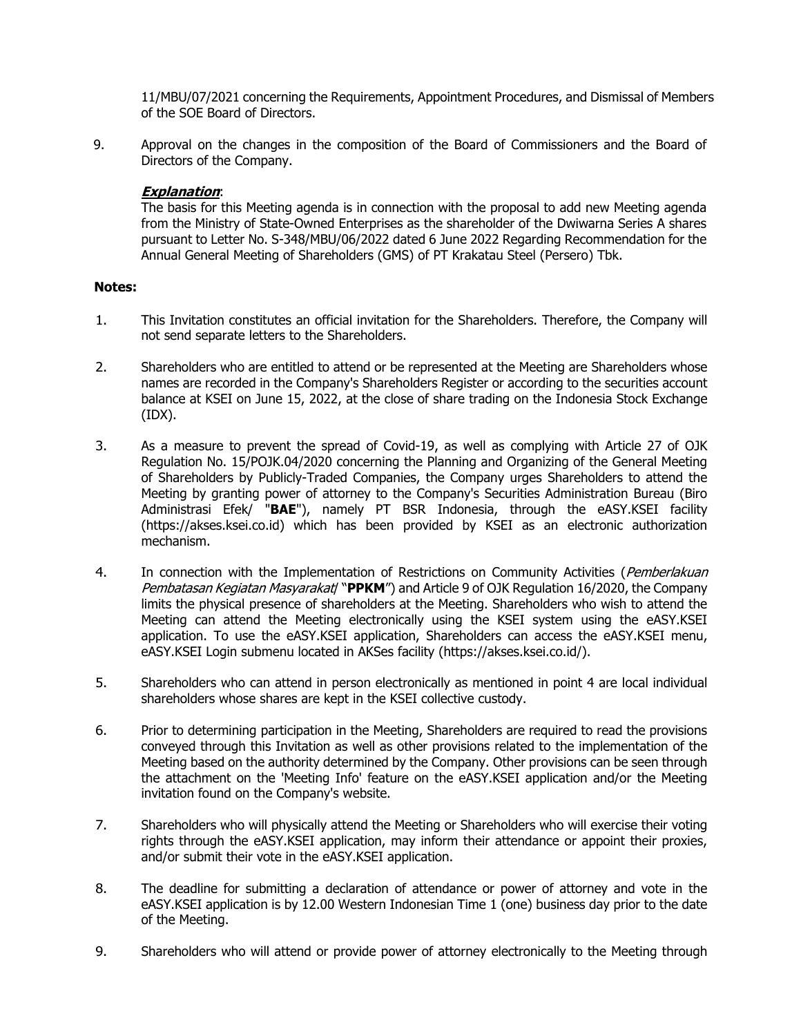11/MBU/07/2021 concerning the Requirements, Appointment Procedures, and Dismissal of Members of the SOE Board of Directors.

9. Approval on the changes in the composition of the Board of Commissioners and the Board of Directors of the Company.

### **Explanation**:

The basis for this Meeting agenda is in connection with the proposal to add new Meeting agenda from the Ministry of State-Owned Enterprises as the shareholder of the Dwiwarna Series A shares pursuant to Letter No. S-348/MBU/06/2022 dated 6 June 2022 Regarding Recommendation for the Annual General Meeting of Shareholders (GMS) of PT Krakatau Steel (Persero) Tbk.

### **Notes:**

- 1. This Invitation constitutes an official invitation for the Shareholders. Therefore, the Company will not send separate letters to the Shareholders.
- 2. Shareholders who are entitled to attend or be represented at the Meeting are Shareholders whose names are recorded in the Company's Shareholders Register or according to the securities account balance at KSEI on June 15, 2022, at the close of share trading on the Indonesia Stock Exchange (IDX).
- 3. As a measure to prevent the spread of Covid-19, as well as complying with Article 27 of OJK Regulation No. 15/POJK.04/2020 concerning the Planning and Organizing of the General Meeting of Shareholders by Publicly-Traded Companies, the Company urges Shareholders to attend the Meeting by granting power of attorney to the Company's Securities Administration Bureau (Biro Administrasi Efek/ "**BAE**"), namely PT BSR Indonesia, through the eASY.KSEI facility (https://akses.ksei.co.id) which has been provided by KSEI as an electronic authorization mechanism.
- 4. In connection with the Implementation of Restrictions on Community Activities (Pemberlakuan Pembatasan Kegiatan Masyarakat/ "PPKM") and Article 9 of OJK Regulation 16/2020, the Company limits the physical presence of shareholders at the Meeting. Shareholders who wish to attend the Meeting can attend the Meeting electronically using the KSEI system using the eASY.KSEI application. To use the eASY.KSEI application, Shareholders can access the eASY.KSEI menu, eASY.KSEI Login submenu located in AKSes facility [\(https://akses.ksei.co.id/\)](https://akses.ksei.co.id/).
- 5. Shareholders who can attend in person electronically as mentioned in point 4 are local individual shareholders whose shares are kept in the KSEI collective custody.
- 6. Prior to determining participation in the Meeting, Shareholders are required to read the provisions conveyed through this Invitation as well as other provisions related to the implementation of the Meeting based on the authority determined by the Company. Other provisions can be seen through the attachment on the 'Meeting Info' feature on the eASY.KSEI application and/or the Meeting invitation found on the Company's website.
- 7. Shareholders who will physically attend the Meeting or Shareholders who will exercise their voting rights through the eASY.KSEI application, may inform their attendance or appoint their proxies, and/or submit their vote in the eASY.KSEI application.
- 8. The deadline for submitting a declaration of attendance or power of attorney and vote in the eASY.KSEI application is by 12.00 Western Indonesian Time 1 (one) business day prior to the date of the Meeting.
- 9. Shareholders who will attend or provide power of attorney electronically to the Meeting through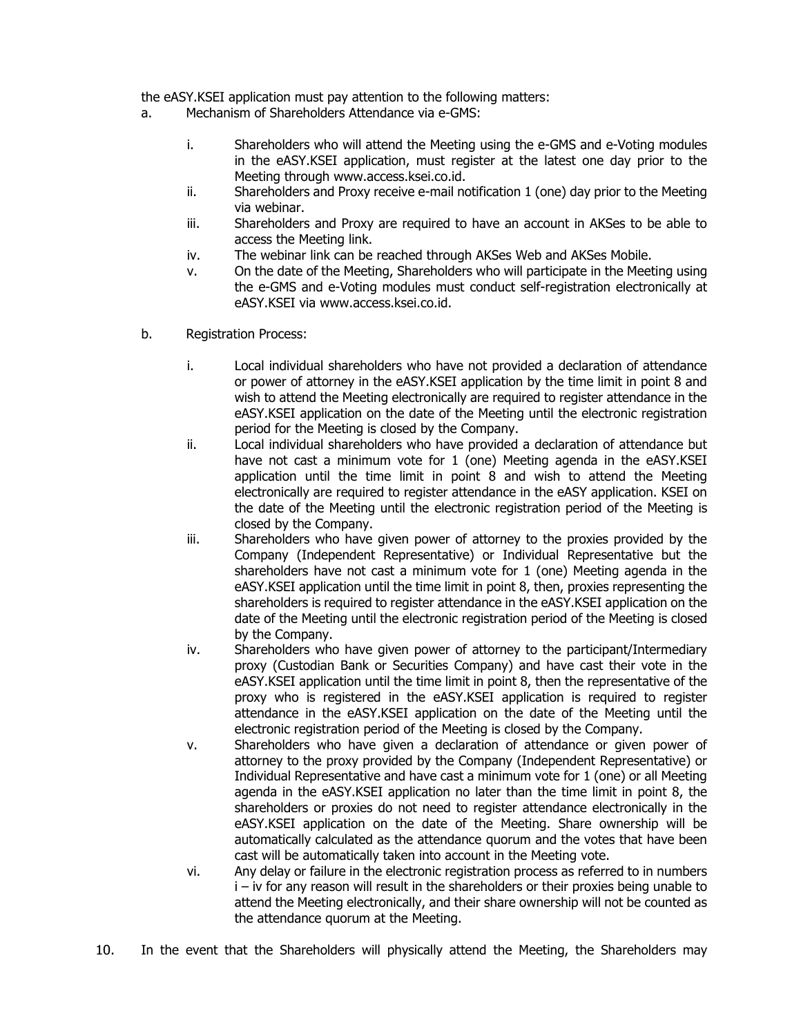the eASY.KSEI application must pay attention to the following matters:

- a. Mechanism of Shareholders Attendance via e-GMS:
	- i. Shareholders who will attend the Meeting using the e-GMS and e-Voting modules in the eASY.KSEI application, must register at the latest one day prior to the Meeting through www.access.ksei.co.id.
	- ii. Shareholders and Proxy receive e-mail notification 1 (one) day prior to the Meeting via webinar.
	- iii. Shareholders and Proxy are required to have an account in AKSes to be able to access the Meeting link.
	- iv. The webinar link can be reached through AKSes Web and AKSes Mobile.
	- v. On the date of the Meeting, Shareholders who will participate in the Meeting using the e-GMS and e-Voting modules must conduct self-registration electronically at eASY.KSEI via www.access.ksei.co.id.
- b. Registration Process:
	- i. Local individual shareholders who have not provided a declaration of attendance or power of attorney in the eASY.KSEI application by the time limit in point 8 and wish to attend the Meeting electronically are required to register attendance in the eASY.KSEI application on the date of the Meeting until the electronic registration period for the Meeting is closed by the Company.
	- ii. Local individual shareholders who have provided a declaration of attendance but have not cast a minimum vote for 1 (one) Meeting agenda in the eASY.KSEI application until the time limit in point 8 and wish to attend the Meeting electronically are required to register attendance in the eASY application. KSEI on the date of the Meeting until the electronic registration period of the Meeting is closed by the Company.
	- iii. Shareholders who have given power of attorney to the proxies provided by the Company (Independent Representative) or Individual Representative but the shareholders have not cast a minimum vote for 1 (one) Meeting agenda in the eASY.KSEI application until the time limit in point 8, then, proxies representing the shareholders is required to register attendance in the eASY.KSEI application on the date of the Meeting until the electronic registration period of the Meeting is closed by the Company.
	- iv. Shareholders who have given power of attorney to the participant/Intermediary proxy (Custodian Bank or Securities Company) and have cast their vote in the eASY.KSEI application until the time limit in point 8, then the representative of the proxy who is registered in the eASY.KSEI application is required to register attendance in the eASY.KSEI application on the date of the Meeting until the electronic registration period of the Meeting is closed by the Company.
	- v. Shareholders who have given a declaration of attendance or given power of attorney to the proxy provided by the Company (Independent Representative) or Individual Representative and have cast a minimum vote for 1 (one) or all Meeting agenda in the eASY.KSEI application no later than the time limit in point 8, the shareholders or proxies do not need to register attendance electronically in the eASY.KSEI application on the date of the Meeting. Share ownership will be automatically calculated as the attendance quorum and the votes that have been cast will be automatically taken into account in the Meeting vote.
	- vi. Any delay or failure in the electronic registration process as referred to in numbers i – iv for any reason will result in the shareholders or their proxies being unable to attend the Meeting electronically, and their share ownership will not be counted as the attendance quorum at the Meeting.
- 10. In the event that the Shareholders will physically attend the Meeting, the Shareholders may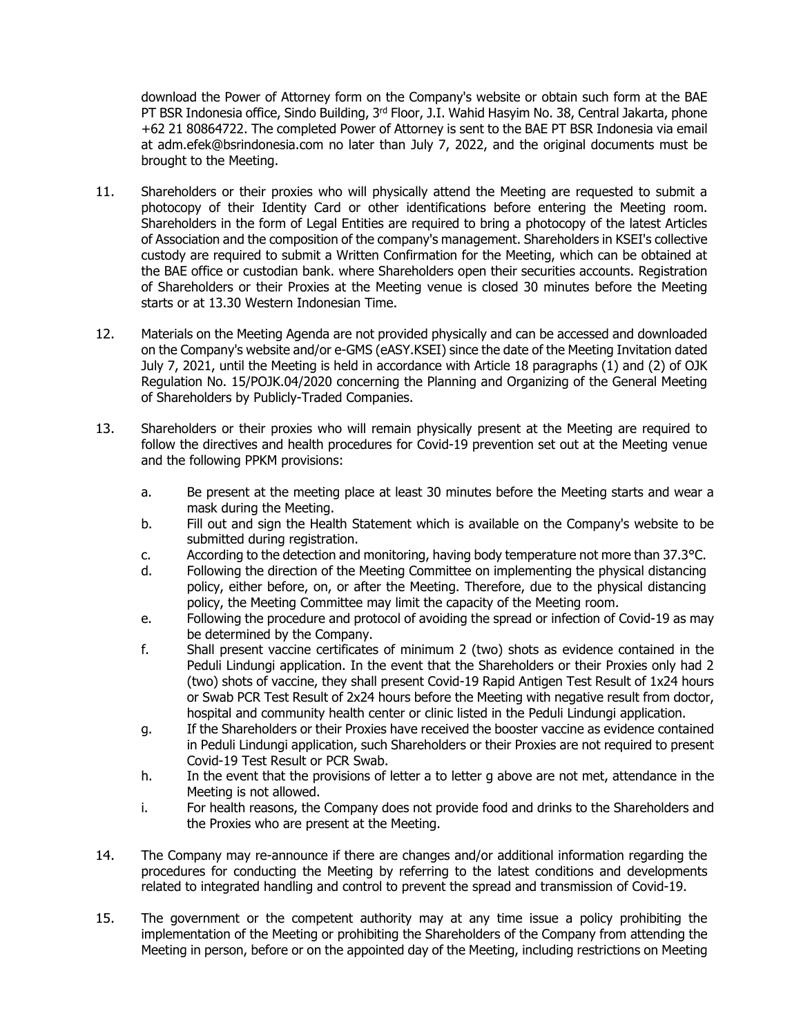download the Power of Attorney form on the Company's website or obtain such form at the BAE PT BSR Indonesia office, Sindo Building, 3<sup>rd</sup> Floor, J.I. Wahid Hasyim No. 38, Central Jakarta, phone +62 21 80864722. The completed Power of Attorney is sent to the BAE PT BSR Indonesia via email at adm.efek@bsrindonesia.com no later than July 7, 2022, and the original documents must be brought to the Meeting.

- 11. Shareholders or their proxies who will physically attend the Meeting are requested to submit a photocopy of their Identity Card or other identifications before entering the Meeting room. Shareholders in the form of Legal Entities are required to bring a photocopy of the latest Articles of Association and the composition of the company's management. Shareholders in KSEI's collective custody are required to submit a Written Confirmation for the Meeting, which can be obtained at the BAE office or custodian bank. where Shareholders open their securities accounts. Registration of Shareholders or their Proxies at the Meeting venue is closed 30 minutes before the Meeting starts or at 13.30 Western Indonesian Time.
- 12. Materials on the Meeting Agenda are not provided physically and can be accessed and downloaded on the Company's website and/or e-GMS (eASY.KSEI) since the date of the Meeting Invitation dated July 7, 2021, until the Meeting is held in accordance with Article 18 paragraphs (1) and (2) of OJK Regulation No. 15/POJK.04/2020 concerning the Planning and Organizing of the General Meeting of Shareholders by Publicly-Traded Companies.
- 13. Shareholders or their proxies who will remain physically present at the Meeting are required to follow the directives and health procedures for Covid-19 prevention set out at the Meeting venue and the following PPKM provisions:
	- a. Be present at the meeting place at least 30 minutes before the Meeting starts and wear a mask during the Meeting.
	- b. Fill out and sign the Health Statement which is available on the Company's website to be submitted during registration.
	- c. According to the detection and monitoring, having body temperature not more than 37.3°C.
	- d. Following the direction of the Meeting Committee on implementing the physical distancing policy, either before, on, or after the Meeting. Therefore, due to the physical distancing policy, the Meeting Committee may limit the capacity of the Meeting room.
	- e. Following the procedure and protocol of avoiding the spread or infection of Covid-19 as may be determined by the Company.
	- f. Shall present vaccine certificates of minimum 2 (two) shots as evidence contained in the Peduli Lindungi application. In the event that the Shareholders or their Proxies only had 2 (two) shots of vaccine, they shall present Covid-19 Rapid Antigen Test Result of 1x24 hours or Swab PCR Test Result of 2x24 hours before the Meeting with negative result from doctor, hospital and community health center or clinic listed in the Peduli Lindungi application.
	- g. If the Shareholders or their Proxies have received the booster vaccine as evidence contained in Peduli Lindungi application, such Shareholders or their Proxies are not required to present Covid-19 Test Result or PCR Swab.
	- h. In the event that the provisions of letter a to letter g above are not met, attendance in the Meeting is not allowed.
	- i. For health reasons, the Company does not provide food and drinks to the Shareholders and the Proxies who are present at the Meeting.
- 14. The Company may re-announce if there are changes and/or additional information regarding the procedures for conducting the Meeting by referring to the latest conditions and developments related to integrated handling and control to prevent the spread and transmission of Covid-19.
- 15. The government or the competent authority may at any time issue a policy prohibiting the implementation of the Meeting or prohibiting the Shareholders of the Company from attending the Meeting in person, before or on the appointed day of the Meeting, including restrictions on Meeting